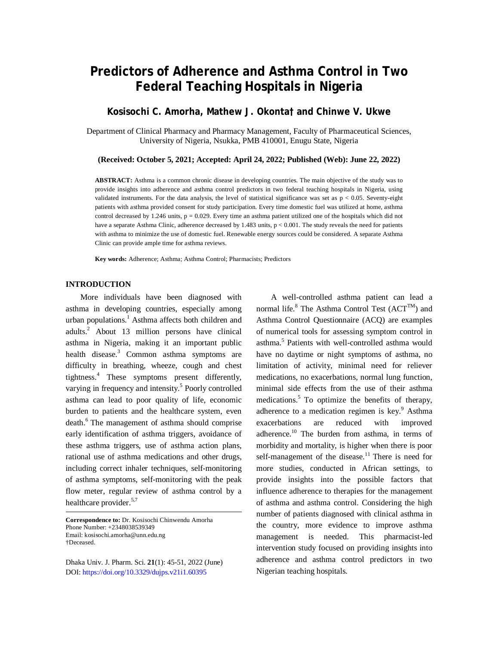# **Predictors of Adherence and Asthma Control in Two Federal Teaching Hospitals in Nigeria**

# **Kosisochi C. Amorha, Mathew J. Okonta† and Chinwe V. Ukwe**

Department of Clinical Pharmacy and Pharmacy Management, Faculty of Pharmaceutical Sciences, University of Nigeria, Nsukka, PMB 410001, Enugu State, Nigeria

**(Received: October 5, 2021; Accepted: April 24, 2022; Published (Web): June 22, 2022)**

**ABSTRACT:** Asthma is a common chronic disease in developing countries. The main objective of the study was to provide insights into adherence and asthma control predictors in two federal teaching hospitals in Nigeria, using validated instruments. For the data analysis, the level of statistical significance was set as  $p < 0.05$ . Seventy-eight patients with asthma provided consent for study participation. Every time domestic fuel was utilized at home, asthma control decreased by 1.246 units,  $p = 0.029$ . Every time an asthma patient utilized one of the hospitals which did not have a separate Asthma Clinic, adherence decreased by 1.483 units,  $p < 0.001$ . The study reveals the need for patients with asthma to minimize the use of domestic fuel. Renewable energy sources could be considered. A separate Asthma Clinic can provide ample time for asthma reviews.

**Key words:** Adherence; Asthma; Asthma Control; Pharmacists; Predictors

# **INTRODUCTION**

More individuals have been diagnosed with asthma in developing countries, especially among urban populations. <sup>1</sup> Asthma affects both children and adults. <sup>2</sup> About 13 million persons have clinical asthma in Nigeria, making it an important public health disease.<sup>3</sup> Common asthma symptoms are difficulty in breathing, wheeze, cough and chest tightness. <sup>4</sup> These symptoms present differently, varying in frequency and intensity.<sup>5</sup> Poorly controlled asthma can lead to poor quality of life, economic burden to patients and the healthcare system, even death. <sup>6</sup> The management of asthma should comprise early identification of asthma triggers, avoidance of these asthma triggers, use of asthma action plans, rational use of asthma medications and other drugs, including correct inhaler techniques, self-monitoring of asthma symptoms, self-monitoring with the peak flow meter, regular review of asthma control by a healthcare provider.<sup>5,7</sup>

**Correspondence to:** Dr. Kosisochi Chinwendu Amorha Phone Number: +2348038539349 Email: [kosisochi.amorha@unn.edu.ng](mailto:kosisochi.amorha@unn.edu.ng) †Deceased.

Dhaka Univ. J. Pharm. Sci. **21**(1): 45-51, 2022 (June) DOI:<https://doi.org/10.3329/dujps.v21i1.60395>

A well-controlled asthma patient can lead a normal life.<sup>8</sup> The Asthma Control Test  $(ACT^{TM})$  and Asthma Control Questionnaire (ACQ) are examples of numerical tools for assessing symptom control in asthma. 5 Patients with well-controlled asthma would have no daytime or night symptoms of asthma, no limitation of activity, minimal need for reliever medications, no exacerbations, normal lung function, minimal side effects from the use of their asthma medications. <sup>5</sup> To optimize the benefits of therapy, adherence to a medication regimen is key.<sup>9</sup> Asthma exacerbations are reduced with improved adherence.<sup>10</sup> The burden from asthma, in terms of morbidity and mortality, is higher when there is poor self-management of the disease.<sup>11</sup> There is need for more studies, conducted in African settings, to provide insights into the possible factors that influence adherence to therapies for the management of asthma and asthma control. Considering the high number of patients diagnosed with clinical asthma in the country, more evidence to improve asthma management is needed. This pharmacist-led intervention study focused on providing insights into adherence and asthma control predictors in two Nigerian teaching hospitals.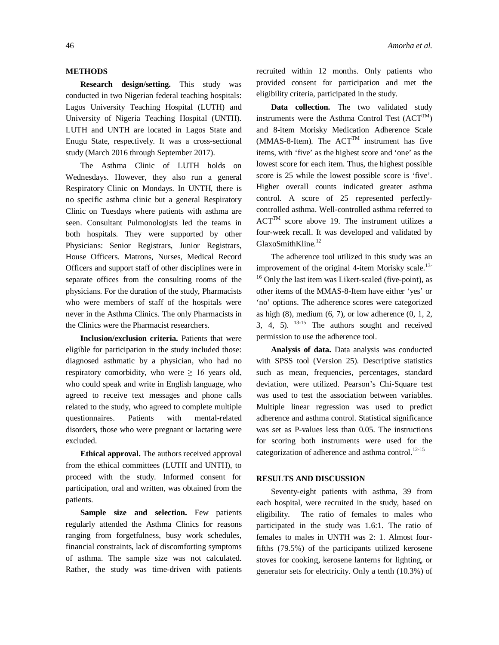# **METHODS**

**Research design/setting.** This study was conducted in two Nigerian federal teaching hospitals: Lagos University Teaching Hospital (LUTH) and University of Nigeria Teaching Hospital (UNTH). LUTH and UNTH are located in Lagos State and Enugu State, respectively. It was a cross-sectional study (March 2016 through September 2017).

The Asthma Clinic of LUTH holds on Wednesdays. However, they also run a general Respiratory Clinic on Mondays. In UNTH, there is no specific asthma clinic but a general Respiratory Clinic on Tuesdays where patients with asthma are seen. Consultant Pulmonologists led the teams in both hospitals. They were supported by other Physicians: Senior Registrars, Junior Registrars, House Officers. Matrons, Nurses, Medical Record Officers and support staff of other disciplines were in separate offices from the consulting rooms of the physicians. For the duration of the study, Pharmacists who were members of staff of the hospitals were never in the Asthma Clinics. The only Pharmacists in the Clinics were the Pharmacist researchers.

**Inclusion/exclusion criteria.** Patients that were eligible for participation in the study included those: diagnosed asthmatic by a physician, who had no respiratory comorbidity, who were  $\geq 16$  years old, who could speak and write in English language, who agreed to receive text messages and phone calls related to the study, who agreed to complete multiple questionnaires. Patients with mental-related disorders, those who were pregnant or lactating were excluded.

**Ethical approval.** The authors received approval from the ethical committees (LUTH and UNTH), to proceed with the study. Informed consent for participation, oral and written, was obtained from the patients.

Sample size and selection. Few patients regularly attended the Asthma Clinics for reasons ranging from forgetfulness, busy work schedules, financial constraints, lack of discomforting symptoms of asthma. The sample size was not calculated. Rather, the study was time-driven with patients

recruited within 12 months. Only patients who provided consent for participation and met the eligibility criteria, participated in the study.

**Data collection.** The two validated study instruments were the Asthma Control Test  $(ACT^{TM})$ and 8-item Morisky Medication Adherence Scale (MMAS-8-Item). The  $ACT^{TM}$  instrument has five items, with 'five' as the highest score and 'one' as the lowest score for each item. Thus, the highest possible score is 25 while the lowest possible score is 'five'. Higher overall counts indicated greater asthma control. A score of 25 represented perfectlycontrolled asthma. Well-controlled asthma referred to  $ACT<sup>TM</sup>$  score above 19. The instrument utilizes a four-week recall. It was developed and validated by GlaxoSmithKline.<sup>12</sup>

The adherence tool utilized in this study was an improvement of the original 4-item Morisky scale.<sup>13-</sup> <sup>16</sup> Only the last item was Likert-scaled (five-point), as other items of the MMAS-8-Item have either 'yes' or 'no' options. The adherence scores were categorized as high  $(8)$ , medium  $(6, 7)$ , or low adherence  $(0, 1, 2)$ , 3, 4, 5).  $13-15$  The authors sought and received permission to use the adherence tool.

**Analysis of data.** Data analysis was conducted with SPSS tool (Version 25). Descriptive statistics such as mean, frequencies, percentages, standard deviation, were utilized. Pearson's Chi-Square test was used to test the association between variables. Multiple linear regression was used to predict adherence and asthma control. Statistical significance was set as P-values less than 0.05. The instructions for scoring both instruments were used for the categorization of adherence and asthma control.<sup>12-15</sup>

# **RESULTS AND DISCUSSION**

Seventy-eight patients with asthma, 39 from each hospital, were recruited in the study, based on eligibility. The ratio of females to males who participated in the study was 1.6:1. The ratio of females to males in UNTH was 2: 1. Almost fourfifths (79.5%) of the participants utilized kerosene stoves for cooking, kerosene lanterns for lighting, or generator sets for electricity. Only a tenth (10.3%) of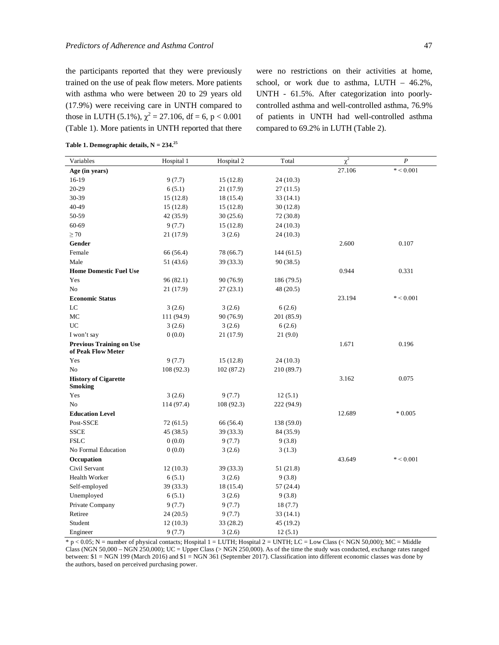the participants reported that they were previously trained on the use of peak flow meters. More patients with asthma who were between 20 to 29 years old (17.9%) were receiving care in UNTH compared to those in LUTH (5.1%),  $\chi^2 = 27.106$ , df = 6, p < 0.001 (Table 1). More patients in UNTH reported that there were no restrictions on their activities at home, school, or work due to asthma, LUTH – 46.2%, UNTH - 61.5%. After categorization into poorlycontrolled asthma and well-controlled asthma, 76.9% of patients in UNTH had well-controlled asthma compared to 69.2% in LUTH (Table 2).

| Variables                                             | Hospital 1 | Hospital 2 | Total      | $\chi^2$ | $\overline{P}$ |
|-------------------------------------------------------|------------|------------|------------|----------|----------------|
| Age (in years)                                        |            |            |            | 27.106   | $* < 0.001$    |
| 16-19                                                 | 9(7.7)     | 15(12.8)   | 24 (10.3)  |          |                |
| 20-29                                                 | 6(5.1)     | 21 (17.9)  | 27(11.5)   |          |                |
| 30-39                                                 | 15(12.8)   | 18 (15.4)  | 33 (14.1)  |          |                |
| 40-49                                                 | 15(12.8)   | 15(12.8)   | 30(12.8)   |          |                |
| 50-59                                                 | 42 (35.9)  | 30(25.6)   | 72 (30.8)  |          |                |
| 60-69                                                 | 9(7.7)     | 15(12.8)   | 24(10.3)   |          |                |
| $\geq 70$                                             | 21 (17.9)  | 3(2.6)     | 24(10.3)   |          |                |
| Gender                                                |            |            |            | 2.600    | 0.107          |
| Female                                                | 66 (56.4)  | 78 (66.7)  | 144 (61.5) |          |                |
| Male                                                  | 51 (43.6)  | 39 (33.3)  | 90(38.5)   |          |                |
| <b>Home Domestic Fuel Use</b>                         |            |            |            | 0.944    | 0.331          |
| Yes                                                   | 96(82.1)   | 90 (76.9)  | 186 (79.5) |          |                |
| No                                                    | 21 (17.9)  | 27(23.1)   | 48 (20.5)  |          |                |
| <b>Economic Status</b>                                |            |            |            | 23.194   | $* < 0.001$    |
| LC                                                    | 3(2.6)     | 3(2.6)     | 6(2.6)     |          |                |
| MC                                                    | 111 (94.9) | 90 (76.9)  | 201 (85.9) |          |                |
| UC                                                    | 3(2.6)     | 3(2.6)     | 6(2.6)     |          |                |
| I won't say                                           | 0(0.0)     | 21 (17.9)  | 21(9.0)    |          |                |
| <b>Previous Training on Use</b><br>of Peak Flow Meter |            |            |            | 1.671    | 0.196          |
| Yes                                                   | 9(7.7)     | 15(12.8)   | 24(10.3)   |          |                |
| No                                                    | 108 (92.3) | 102(87.2)  | 210 (89.7) |          |                |
| <b>History of Cigarette</b><br><b>Smoking</b>         |            |            |            | 3.162    | 0.075          |
| Yes                                                   | 3(2.6)     | 9(7.7)     | 12(5.1)    |          |                |
| N <sub>0</sub>                                        | 114 (97.4) | 108(92.3)  | 222 (94.9) |          |                |
| <b>Education Level</b>                                |            |            |            | 12.689   | $*0.005$       |
| Post-SSCE                                             | 72(61.5)   | 66 (56.4)  | 138 (59.0) |          |                |
| <b>SSCE</b>                                           | 45 (38.5)  | 39 (33.3)  | 84 (35.9)  |          |                |
| <b>FSLC</b>                                           | 0(0.0)     | 9(7.7)     | 9(3.8)     |          |                |
| No Formal Education                                   | 0(0.0)     | 3(2.6)     | 3(1.3)     |          |                |
| Occupation                                            |            |            |            | 43.649   | $* < 0.001$    |
| Civil Servant                                         | 12(10.3)   | 39 (33.3)  | 51 (21.8)  |          |                |
| Health Worker                                         | 6(5.1)     | 3(2.6)     | 9(3.8)     |          |                |
| Self-employed                                         | 39 (33.3)  | 18 (15.4)  | 57 (24.4)  |          |                |
| Unemployed                                            | 6(5.1)     | 3(2.6)     | 9(3.8)     |          |                |
| Private Company                                       | 9(7.7)     | 9(7.7)     | 18(7.7)    |          |                |
| Retiree                                               | 24(20.5)   | 9(7.7)     | 33 (14.1)  |          |                |
| Student                                               | 12(10.3)   | 33 (28.2)  | 45 (19.2)  |          |                |
| Engineer                                              | 9(7.7)     | 3(2.6)     | 12(5.1)    |          |                |

**Table 1. Demographic details, N = 234.<sup>25</sup>**

\* p < 0.05; N = number of physical contacts; Hospital 1 = LUTH; Hospital 2 = UNTH; LC = Low Class (< NGN 50,000); MC = Middle Class (NGN 50,000 – NGN 250,000); UC = Upper Class (> NGN 250,000). As of the time the study was conducted, exchange rates ranged between: \$1 = NGN 199 (March 2016) and \$1 = NGN 361 (September 2017). Classification into different economic classes was done by the authors, based on perceived purchasing power.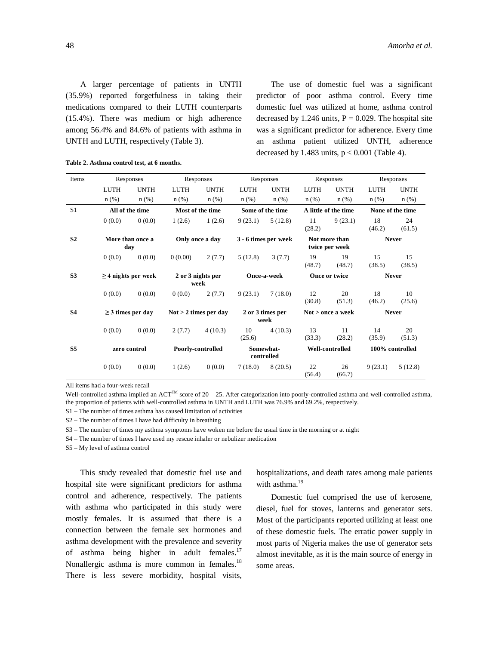A larger percentage of patients in UNTH (35.9%) reported forgetfulness in taking their medications compared to their LUTH counterparts (15.4%). There was medium or high adherence among 56.4% and 84.6% of patients with asthma in UNTH and LUTH, respectively (Table 3).

The use of domestic fuel was a significant predictor of poor asthma control. Every time domestic fuel was utilized at home, asthma control decreased by 1.246 units,  $P = 0.029$ . The hospital site was a significant predictor for adherence. Every time an asthma patient utilized UNTH, adherence decreased by 1.483 units,  $p < 0.001$  (Table 4).

| Items          | Responses                |                                                   | Responses                 |                          | Responses               |                   | Responses                       |              | Responses        |              |
|----------------|--------------------------|---------------------------------------------------|---------------------------|--------------------------|-------------------------|-------------------|---------------------------------|--------------|------------------|--------------|
|                | <b>LUTH</b>              | <b>UNTH</b>                                       | <b>LUTH</b>               | <b>UNTH</b>              | LUTH                    | <b>UNTH</b>       | LUTH                            | <b>UNTH</b>  | LUTH             | <b>UNTH</b>  |
|                | $n$ (%)                  | $n$ (%)                                           | $n$ (%)                   | $n$ (%)                  | $n$ (%)                 | $n$ (%)           | $n$ (%)                         | $n$ (%)      | $n$ (%)          | $n$ (%)      |
| S <sub>1</sub> | All of the time          |                                                   | Most of the time          |                          | Some of the time        |                   | A little of the time            |              | None of the time |              |
|                | 0(0.0)                   | 0(0.0)                                            | 1(2.6)                    | 1(2.6)                   | 9(23.1)                 | 5(12.8)           | 11<br>(28.2)                    | 9(23.1)      | 18<br>(46.2)     | 24<br>(61.5) |
| S <sub>2</sub> | More than once a<br>day  |                                                   | Only once a day           |                          | 3 - 6 times per week    |                   | Not more than<br>twice per week |              | <b>Never</b>     |              |
|                | 0(0.0)                   | 0(0.0)                                            | 0(0.00)                   | 2(7.7)                   | 5(12.8)                 | 3(7.7)            | 19<br>(48.7)                    | 19<br>(48.7) | 15<br>(38.5)     | 15<br>(38.5) |
| S <sub>3</sub> | $\geq$ 4 nights per week |                                                   | 2 or 3 nights per<br>week |                          | Once-a-week             |                   | Once or twice                   |              | <b>Never</b>     |              |
|                | 0(0.0)                   | 0(0.0)                                            | 0(0.0)                    | 2(7.7)                   | 9(23.1)                 | 7(18.0)           | 12<br>(30.8)                    | 20<br>(51.3) | 18<br>(46.2)     | 10<br>(25.6) |
| <b>S4</b>      |                          | $\geq$ 3 times per day<br>$Not > 2$ times per day |                           | 2 or 3 times per<br>week |                         | Not > once a week |                                 | <b>Never</b> |                  |              |
|                | 0(0.0)                   | 0(0.0)                                            | 2(7.7)                    | 4(10.3)                  | 10<br>(25.6)            | 4(10.3)           | 13<br>(33.3)                    | 11<br>(28.2) | 14<br>(35.9)     | 20<br>(51.3) |
| S <sub>5</sub> | zero control             |                                                   | Poorly-controlled         |                          | Somewhat-<br>controlled |                   | Well-controlled                 |              | 100% controlled  |              |
|                | 0(0.0)                   | 0(0.0)                                            | 1(2.6)                    | 0(0.0)                   | 7(18.0)                 | 8(20.5)           | 22<br>(56.4)                    | 26<br>(66.7) | 9(23.1)          | 5(12.8)      |

**Table 2. Asthma control test, at 6 months.**

All items had a four-week recall

Well-controlled asthma implied an ACT<sup>TM</sup> score of 20 – 25. After categorization into poorly-controlled asthma and well-controlled asthma, the proportion of patients with well-controlled asthma in UNTH and LUTH was 76.9% and 69.2%, respectively.

S1 – The number of times asthma has caused limitation of activities

S2 – The number of times I have had difficulty in breathing

S3 – The number of times my asthma symptoms have woken me before the usual time in the morning or at night

S4 – The number of times I have used my rescue inhaler or nebulizer medication

S5 – My level of asthma control

This study revealed that domestic fuel use and hospital site were significant predictors for asthma control and adherence, respectively. The patients with asthma who participated in this study were mostly females. It is assumed that there is a connection between the female sex hormones and asthma development with the prevalence and severity of asthma being higher in adult females.<sup>17</sup> Nonallergic asthma is more common in females.<sup>18</sup> There is less severe morbidity, hospital visits, hospitalizations, and death rates among male patients with asthma.<sup>19</sup>

Domestic fuel comprised the use of kerosene, diesel, fuel for stoves, lanterns and generator sets. Most of the participants reported utilizing at least one of these domestic fuels. The erratic power supply in most parts of Nigeria makes the use of generator sets almost inevitable, as it is the main source of energy in some areas.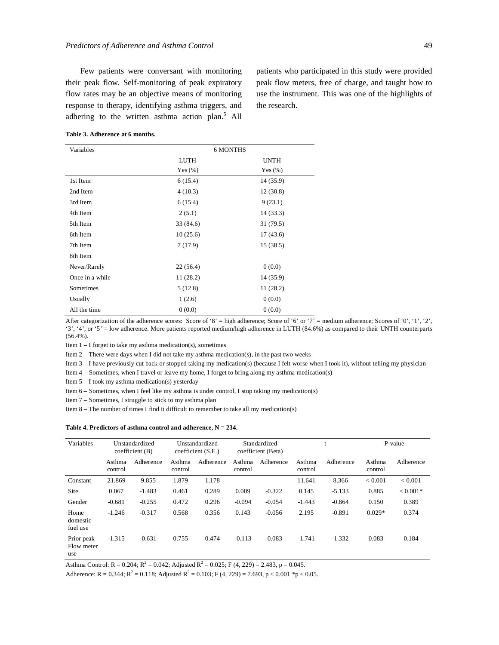Few patients were conversant with monitoring their peak flow. Self-monitoring of peak expiratory flow rates may be an objective means of monitoring response to therapy, identifying asthma triggers, and adhering to the written asthma action plan.<sup>5</sup> All patients who participated in this study were provided peak flow meters, free of charge, and taught how to use the instrument. This was one of the highlights of the research.

# **Table 3. Adherence at 6 months.**

| Variables       | <b>6 MONTHS</b> |             |  |  |  |
|-----------------|-----------------|-------------|--|--|--|
|                 | LUTH            | <b>UNTH</b> |  |  |  |
|                 | Yes $(\%)$      | Yes $(\% )$ |  |  |  |
| 1st Item        | 6(15.4)         | 14 (35.9)   |  |  |  |
| 2nd Item        | 4(10.3)         | 12(30.8)    |  |  |  |
| 3rd Item        | 6(15.4)         | 9(23.1)     |  |  |  |
| 4th Item        | 2(5.1)          | 14 (33.3)   |  |  |  |
| 5th Item        | 33 (84.6)       | 31 (79.5)   |  |  |  |
| 6th Item        | 10(25.6)        | 17(43.6)    |  |  |  |
| 7th Item        | 7(17.9)         | 15(38.5)    |  |  |  |
| 8th Item        |                 |             |  |  |  |
| Never/Rarely    | 22 (56.4)       | 0(0.0)      |  |  |  |
| Once in a while | 11 (28.2)       | 14 (35.9)   |  |  |  |
| Sometimes       | 5(12.8)         | 11 (28.2)   |  |  |  |
| Usually         | 1(2.6)          | 0(0.0)      |  |  |  |
| All the time    | 0(0.0)          | 0(0.0)      |  |  |  |

After categorization of the adherence scores: Score of '8' = high adherence; Score of '6' or '7' = medium adherence; Scores of '0', '1', '2', '3', '4', or '5' = low adherence. More patients reported medium/high adherence in LUTH (84.6%) as compared to their UNTH counterparts (56.4%).

Item 1 – I forget to take my asthma medication(s), sometimes

Item 2 – There were days when I did not take my asthma medication(s), in the past two weeks

Item 3 – I have previously cut back or stopped taking my medication(s) (because I felt worse when I took it), without telling my physician

Item 4 – Sometimes, when I travel or leave my home, I forget to bring along my asthma medication(s)

Item 5 – I took my asthma medication(s) yesterday

Item 6 – Sometimes, when I feel like my asthma is under control, I stop taking my medication(s)

Item 7 – Sometimes, I struggle to stick to my asthma plan

Item 8 – The number of times I find it difficult to remember to take all my medication(s)

#### **Table 4. Predictors of asthma control and adherence, N = 234.**

| Variables                       | Unstandardized<br>coefficient(B) |           | Unstandardized<br>coefficient(S.E.) |           | Standardized<br>coefficient (Beta) |           | υ                 |           | P-value           |            |
|---------------------------------|----------------------------------|-----------|-------------------------------------|-----------|------------------------------------|-----------|-------------------|-----------|-------------------|------------|
|                                 | Asthma<br>control                | Adherence | Asthma<br>control                   | Adherence | Asthma<br>control                  | Adherence | Asthma<br>control | Adherence | Asthma<br>control | Adherence  |
| Constant                        | 21.869                           | 9.855     | 1.879                               | 1.178     |                                    |           | 11.641            | 8.366     | ${}< 0.001$       | < 0.001    |
| Site                            | 0.067                            | $-1.483$  | 0.461                               | 0.289     | 0.009                              | $-0.322$  | 0.145             | $-5.133$  | 0.885             | $< 0.001*$ |
| Gender                          | $-0.681$                         | $-0.255$  | 0.472                               | 0.296     | $-0.094$                           | $-0.054$  | $-1.443$          | $-0.864$  | 0.150             | 0.389      |
| Home<br>domestic<br>fuel use    | $-1.246$                         | $-0.317$  | 0.568                               | 0.356     | 0.143                              | $-0.056$  | 2.195             | $-0.891$  | $0.029*$          | 0.374      |
| Prior peak<br>Flow meter<br>use | $-1.315$                         | $-0.631$  | 0.755                               | 0.474     | $-0.113$                           | $-0.083$  | $-1.741$          | $-1.332$  | 0.083             | 0.184      |

Asthma Control: R = 0.204;  $R^2 = 0.042$ ; Adjusted  $R^2 = 0.025$ ; F (4, 229) = 2.483, p = 0.045.

Adherence: R = 0.344; R<sup>2</sup> = 0.118; Adjusted R<sup>2</sup> = 0.103; F (4, 229) = 7.693, p < 0.001 \*p < 0.05.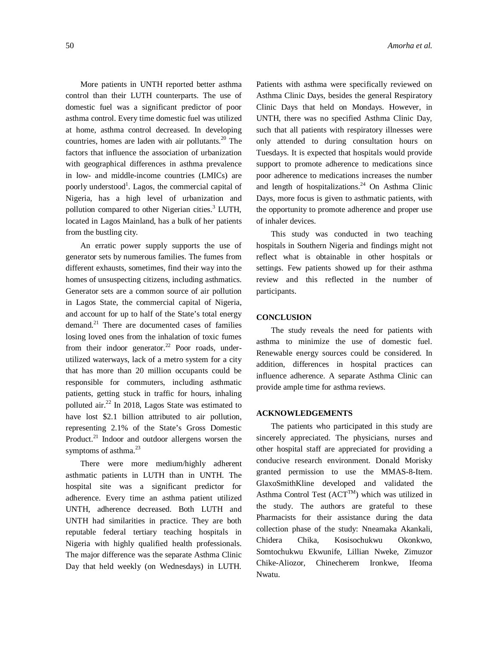More patients in UNTH reported better asthma control than their LUTH counterparts. The use of domestic fuel was a significant predictor of poor asthma control. Every time domestic fuel was utilized at home, asthma control decreased. In developing countries, homes are laden with air pollutants. <sup>20</sup> The factors that influence the association of urbanization with geographical differences in asthma prevalence in low- and middle-income countries (LMICs) are poorly understood<sup>1</sup>. Lagos, the commercial capital of Nigeria, has a high level of urbanization and pollution compared to other Nigerian cities.<sup>3</sup> LUTH, located in Lagos Mainland, has a bulk of her patients from the bustling city.

An erratic power supply supports the use of generator sets by numerous families. The fumes from different exhausts, sometimes, find their way into the homes of unsuspecting citizens, including asthmatics. Generator sets are a common source of air pollution in Lagos State, the commercial capital of Nigeria, and account for up to half of the State's total energy demand. <sup>21</sup> There are documented cases of families losing loved ones from the inhalation of toxic fumes from their indoor generator.<sup>22</sup> Poor roads, underutilized waterways, lack of a metro system for a city that has more than 20 million occupants could be responsible for commuters, including asthmatic patients, getting stuck in traffic for hours, inhaling polluted air. 22 In 2018, Lagos State was estimated to have lost \$2.1 billion attributed to air pollution, representing 2.1% of the State's Gross Domestic Product.<sup>21</sup> Indoor and outdoor allergens worsen the symptoms of asthma.<sup>23</sup>

There were more medium/highly adherent asthmatic patients in LUTH than in UNTH. The hospital site was a significant predictor for adherence. Every time an asthma patient utilized UNTH, adherence decreased. Both LUTH and UNTH had similarities in practice. They are both reputable federal tertiary teaching hospitals in Nigeria with highly qualified health professionals. The major difference was the separate Asthma Clinic Day that held weekly (on Wednesdays) in LUTH.

Patients with asthma were specifically reviewed on Asthma Clinic Days, besides the general Respiratory Clinic Days that held on Mondays. However, in UNTH, there was no specified Asthma Clinic Day, such that all patients with respiratory illnesses were only attended to during consultation hours on Tuesdays. It is expected that hospitals would provide support to promote adherence to medications since poor adherence to medications increases the number and length of hospitalizations. <sup>24</sup> On Asthma Clinic Days, more focus is given to asthmatic patients, with the opportunity to promote adherence and proper use of inhaler devices.

This study was conducted in two teaching hospitals in Southern Nigeria and findings might not reflect what is obtainable in other hospitals or settings. Few patients showed up for their asthma review and this reflected in the number of participants.

# **CONCLUSION**

The study reveals the need for patients with asthma to minimize the use of domestic fuel. Renewable energy sources could be considered. In addition, differences in hospital practices can influence adherence. A separate Asthma Clinic can provide ample time for asthma reviews.

# **ACKNOWLEDGEMENTS**

The patients who participated in this study are sincerely appreciated. The physicians, nurses and other hospital staff are appreciated for providing a conducive research environment. Donald Morisky granted permission to use the MMAS-8-Item. GlaxoSmithKline developed and validated the Asthma Control Test  $(ACT^{TM})$  which was utilized in the study. The authors are grateful to these Pharmacists for their assistance during the data collection phase of the study: Nneamaka Akankali, Chidera Chika, Kosisochukwu Okonkwo, Somtochukwu Ekwunife, Lillian Nweke, Zimuzor Chike-Aliozor, Chinecherem Ironkwe, Ifeoma Nwatu.